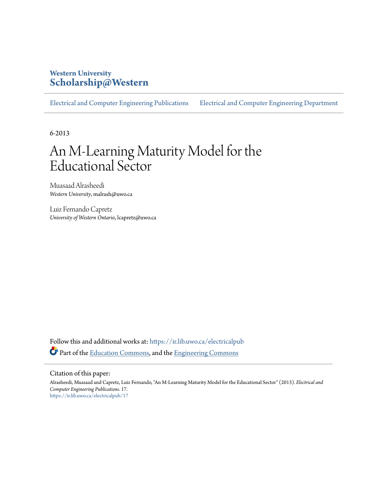# **Western University [Scholarship@Western](https://ir.lib.uwo.ca?utm_source=ir.lib.uwo.ca%2Felectricalpub%2F17&utm_medium=PDF&utm_campaign=PDFCoverPages)**

[Electrical and Computer Engineering Publications](https://ir.lib.uwo.ca/electricalpub?utm_source=ir.lib.uwo.ca%2Felectricalpub%2F17&utm_medium=PDF&utm_campaign=PDFCoverPages) [Electrical and Computer Engineering Department](https://ir.lib.uwo.ca/electrical?utm_source=ir.lib.uwo.ca%2Felectricalpub%2F17&utm_medium=PDF&utm_campaign=PDFCoverPages)

6-2013

# An M-Learning Maturity Model for the Educational Sector

Muasaad Alrasheedi *Western University*, malrash@uwo.ca

Luiz Fernando Capretz *University of Western Ontario*, lcapretz@uwo.ca

Follow this and additional works at: [https://ir.lib.uwo.ca/electricalpub](https://ir.lib.uwo.ca/electricalpub?utm_source=ir.lib.uwo.ca%2Felectricalpub%2F17&utm_medium=PDF&utm_campaign=PDFCoverPages) Part of the [Education Commons](http://network.bepress.com/hgg/discipline/784?utm_source=ir.lib.uwo.ca%2Felectricalpub%2F17&utm_medium=PDF&utm_campaign=PDFCoverPages), and the [Engineering Commons](http://network.bepress.com/hgg/discipline/217?utm_source=ir.lib.uwo.ca%2Felectricalpub%2F17&utm_medium=PDF&utm_campaign=PDFCoverPages)

#### Citation of this paper:

Alrasheedi, Muasaad and Capretz, Luiz Fernando, "An M-Learning Maturity Model for the Educational Sector" (2013). *Electrical and Computer Engineering Publications*. 17. [https://ir.lib.uwo.ca/electricalpub/17](https://ir.lib.uwo.ca/electricalpub/17?utm_source=ir.lib.uwo.ca%2Felectricalpub%2F17&utm_medium=PDF&utm_campaign=PDFCoverPages)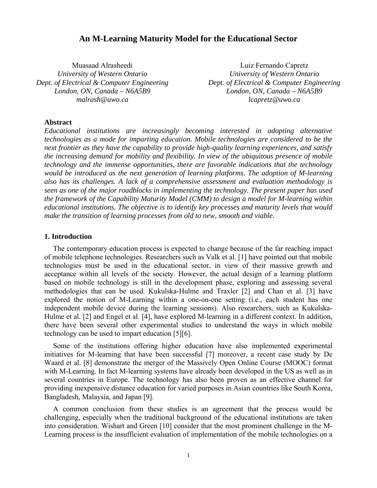# **An M-Learning Maturity Model for the Educational Sector**

Muasaad Alrasheedi *University of Western Ontario Dept. of Electrical & Computer Engineering London, ON, Canada – N6A5B9 malrash@uwo.ca* 

Luiz Fernando Capretz *University of Western Ontario Dept. of Electrical & Computer Engineering London, ON, Canada – N6A5B9 lcapretz@uwo.ca* 

# **Abstract**

*Educational institutions are increasingly becoming interested in adopting alternative technologies as a mode for imparting education. Mobile technologies are considered to be the next frontier as they have the capability to provide high-quality learning experiences, and satisfy the increasing demand for mobility and flexibility. In view of the ubiquitous presence of mobile technology and the immense opportunities, there are favorable indications that the technology would be introduced as the next generation of learning platforms. The adoption of M-learning also has its challenges. A lack of a comprehensive assessment and evaluation methodology is seen as one of the major roadblocks in implementing the technology. The present paper has used the framework of the Capability Maturity Model (CMM) to design a model for M-learning within educational institutions. The objective is to identify key processes and maturity levels that would make the transition of learning processes from old to new, smooth and viable.* 

# **1. Introduction**

The contemporary education process is expected to change because of the far reaching impact of mobile telephone technologies. Researchers such as Valk et al. [1] have pointed out that mobile technologies must be used in the educational sector, in view of their massive growth and acceptance within all levels of the society. However, the actual design of a learning platform based on mobile technology is still in the development phase, exploring and assessing several methodologies that can be used. Kukulska-Hulme and Traxler [2] and Chan et al. [3] have explored the notion of M-Learning within a one-on-one setting (i.e., each student has one independent mobile device during the learning sessions). Also researchers, such as Kukulska-Hulme et al. [2] and Engel et al. [4], have explored M-learning in a different context. In addition, there have been several other experimental studies to understand the ways in which mobile technology can be used to impart education [5][6].

Some of the institutions offering higher education have also implemented experimental initiatives for M-learning that have been successful [7] moreover, a recent case study by De Waard et al. [8] demonstrate the merger of the Massively Open Online Course (MOOC) format with M-Learning. In fact M-learning systems have already been developed in the US as well as in several countries in Europe. The technology has also been proven as an effective channel for providing inexpensive distance education for varied purposes in Asian countries like South Korea, Bangladesh, Malaysia, and Japan [9].

A common conclusion from these studies is an agreement that the process would be challenging, especially when the traditional background of the educational institutions are taken into consideration. Wishart and Green [10] consider that the most prominent challenge in the M-Learning process is the insufficient evaluation of implementation of the mobile technologies on a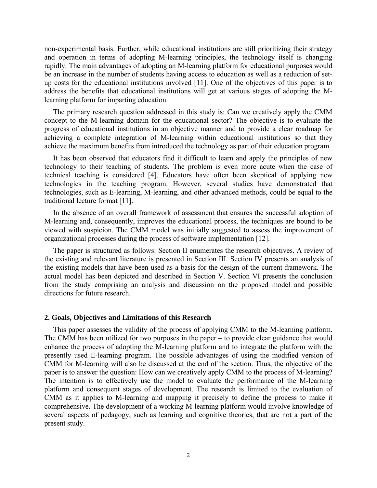non-experimental basis. Further, while educational institutions are still prioritizing their strategy and operation in terms of adopting M-learning principles, the technology itself is changing rapidly. The main advantages of adopting an M-learning platform for educational purposes would be an increase in the number of students having access to education as well as a reduction of setup costs for the educational institutions involved [11]. One of the objectives of this paper is to address the benefits that educational institutions will get at various stages of adopting the Mlearning platform for imparting education.

The primary research question addressed in this study is: Can we creatively apply the CMM concept to the M-learning domain for the educational sector? The objective is to evaluate the progress of educational institutions in an objective manner and to provide a clear roadmap for achieving a complete integration of M-learning within educational institutions so that they achieve the maximum benefits from introduced the technology as part of their education program

It has been observed that educators find it difficult to learn and apply the principles of new technology to their teaching of students. The problem is even more acute when the case of technical teaching is considered [4]. Educators have often been skeptical of applying new technologies in the teaching program. However, several studies have demonstrated that technologies, such as E-learning, M-learning, and other advanced methods, could be equal to the traditional lecture format [11].

In the absence of an overall framework of assessment that ensures the successful adoption of M-learning and, consequently, improves the educational process, the techniques are bound to be viewed with suspicion. The CMM model was initially suggested to assess the improvement of organizational processes during the process of software implementation [12].

The paper is structured as follows: Section II enumerates the research objectives. A review of the existing and relevant literature is presented in Section III. Section IV presents an analysis of the existing models that have been used as a basis for the design of the current framework. The actual model has been depicted and described in Section V. Section VI presents the conclusion from the study comprising an analysis and discussion on the proposed model and possible directions for future research.

#### **2. Goals, Objectives and Limitations of this Research**

This paper assesses the validity of the process of applying CMM to the M-learning platform. The CMM has been utilized for two purposes in the paper – to provide clear guidance that would enhance the process of adopting the M-learning platform and to integrate the platform with the presently used E-learning program. The possible advantages of using the modified version of CMM for M-learning will also be discussed at the end of the section. Thus, the objective of the paper is to answer the question: How can we creatively apply CMM to the process of M-learning? The intention is to effectively use the model to evaluate the performance of the M-learning platform and consequent stages of development. The research is limited to the evaluation of CMM as it applies to M-learning and mapping it precisely to define the process to make it comprehensive. The development of a working M-learning platform would involve knowledge of several aspects of pedagogy, such as learning and cognitive theories, that are not a part of the present study.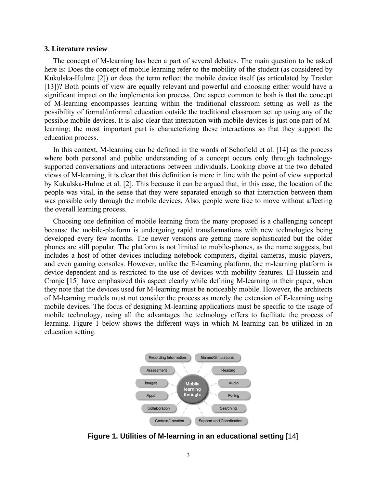#### **3. Literature review**

The concept of M-learning has been a part of several debates. The main question to be asked here is: Does the concept of mobile learning refer to the mobility of the student (as considered by Kukulska-Hulme [2]) or does the term reflect the mobile device itself (as articulated by Traxler [13])? Both points of view are equally relevant and powerful and choosing either would have a significant impact on the implementation process. One aspect common to both is that the concept of M-learning encompasses learning within the traditional classroom setting as well as the possibility of formal/informal education outside the traditional classroom set up using any of the possible mobile devices. It is also clear that interaction with mobile devices is just one part of Mlearning; the most important part is characterizing these interactions so that they support the education process.

In this context, M-learning can be defined in the words of Schofield et al. [14] as the process where both personal and public understanding of a concept occurs only through technologysupported conversations and interactions between individuals. Looking above at the two debated views of M-learning, it is clear that this definition is more in line with the point of view supported by Kukulska-Hulme et al. [2]. This because it can be argued that, in this case, the location of the people was vital, in the sense that they were separated enough so that interaction between them was possible only through the mobile devices. Also, people were free to move without affecting the overall learning process.

Choosing one definition of mobile learning from the many proposed is a challenging concept because the mobile-platform is undergoing rapid transformations with new technologies being developed every few months. The newer versions are getting more sophisticated but the older phones are still popular. The platform is not limited to mobile-phones, as the name suggests, but includes a host of other devices including notebook computers, digital cameras, music players, and even gaming consoles. However, unlike the E-learning platform, the m-learning platform is device-dependent and is restricted to the use of devices with mobility features. El-Hussein and Cronje [15] have emphasized this aspect clearly while defining M-learning in their paper, when they note that the devices used for M-learning must be noticeably mobile. However, the architects of M-learning models must not consider the process as merely the extension of E-learning using mobile devices. The focus of designing M-learning applications must be specific to the usage of mobile technology, using all the advantages the technology offers to facilitate the process of learning. Figure 1 below shows the different ways in which M-learning can be utilized in an education setting.



**Figure 1. Utilities of M-learning in an educational setting** [14]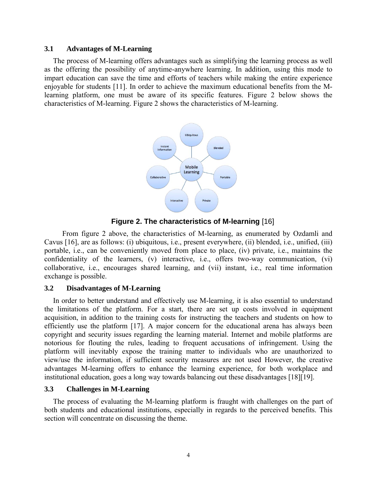# **3.1 Advantages of M-Learning**

The process of M-learning offers advantages such as simplifying the learning process as well as the offering the possibility of anytime-anywhere learning. In addition, using this mode to impart education can save the time and efforts of teachers while making the entire experience enjoyable for students [11]. In order to achieve the maximum educational benefits from the Mlearning platform, one must be aware of its specific features. Figure 2 below shows the characteristics of M-learning. Figure 2 shows the characteristics of M-learning.



**Figure 2. The characteristics of M-learning** [16]

 From figure 2 above, the characteristics of M-learning, as enumerated by Ozdamli and Cavus [16], are as follows: (i) ubiquitous, i.e., present everywhere, (ii) blended, i.e., unified, (iii) portable, i.e., can be conveniently moved from place to place, (iv) private, i.e., maintains the confidentiality of the learners, (v) interactive, i.e., offers two-way communication, (vi) collaborative, i.e., encourages shared learning, and (vii) instant, i.e., real time information exchange is possible.

# **3.2 Disadvantages of M-Learning**

In order to better understand and effectively use M-learning, it is also essential to understand the limitations of the platform. For a start, there are set up costs involved in equipment acquisition, in addition to the training costs for instructing the teachers and students on how to efficiently use the platform [17]. A major concern for the educational arena has always been copyright and security issues regarding the learning material. Internet and mobile platforms are notorious for flouting the rules, leading to frequent accusations of infringement. Using the platform will inevitably expose the training matter to individuals who are unauthorized to view/use the information, if sufficient security measures are not used However, the creative advantages M-learning offers to enhance the learning experience, for both workplace and institutional education, goes a long way towards balancing out these disadvantages [18][19].

# **3.3 Challenges in M-Learning**

The process of evaluating the M-learning platform is fraught with challenges on the part of both students and educational institutions, especially in regards to the perceived benefits. This section will concentrate on discussing the theme.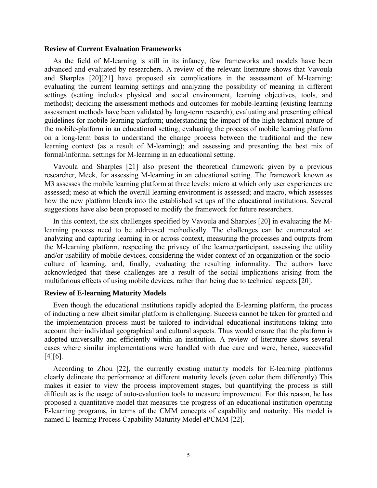# **Review of Current Evaluation Frameworks**

As the field of M-learning is still in its infancy, few frameworks and models have been advanced and evaluated by researchers. A review of the relevant literature shows that Vavoula and Sharples [20][21] have proposed six complications in the assessment of M-learning: evaluating the current learning settings and analyzing the possibility of meaning in different settings (setting includes physical and social environment, learning objectives, tools, and methods); deciding the assessment methods and outcomes for mobile-learning (existing learning assessment methods have been validated by long-term research); evaluating and presenting ethical guidelines for mobile-learning platform; understanding the impact of the high technical nature of the mobile-platform in an educational setting; evaluating the process of mobile learning platform on a long-term basis to understand the change process between the traditional and the new learning context (as a result of M-learning); and assessing and presenting the best mix of formal/informal settings for M-learning in an educational setting.

Vavoula and Sharples [21] also present the theoretical framework given by a previous researcher, Meek, for assessing M-learning in an educational setting. The framework known as M3 assesses the mobile learning platform at three levels: micro at which only user experiences are assessed; meso at which the overall learning environment is assessed; and macro, which assesses how the new platform blends into the established set ups of the educational institutions. Several suggestions have also been proposed to modify the framework for future researchers.

In this context, the six challenges specified by Vavoula and Sharples [20] in evaluating the Mlearning process need to be addressed methodically. The challenges can be enumerated as: analyzing and capturing learning in or across context, measuring the processes and outputs from the M-learning platform, respecting the privacy of the learner/participant, assessing the utility and/or usability of mobile devices, considering the wider context of an organization or the socioculture of learning, and, finally, evaluating the resulting informality. The authors have acknowledged that these challenges are a result of the social implications arising from the multifarious effects of using mobile devices, rather than being due to technical aspects [20].

# **Review of E-learning Maturity Models**

Even though the educational institutions rapidly adopted the E-learning platform, the process of inducting a new albeit similar platform is challenging. Success cannot be taken for granted and the implementation process must be tailored to individual educational institutions taking into account their individual geographical and cultural aspects. Thus would ensure that the platform is adopted universally and efficiently within an institution. A review of literature shows several cases where similar implementations were handled with due care and were, hence, successful [4][6].

According to Zhou [22], the currently existing maturity models for E-learning platforms clearly delineate the performance at different maturity levels (even color them differently) This makes it easier to view the process improvement stages, but quantifying the process is still difficult as is the usage of auto-evaluation tools to measure improvement. For this reason, he has proposed a quantitative model that measures the progress of an educational institution operating E-learning programs, in terms of the CMM concepts of capability and maturity. His model is named E-learning Process Capability Maturity Model ePCMM [22].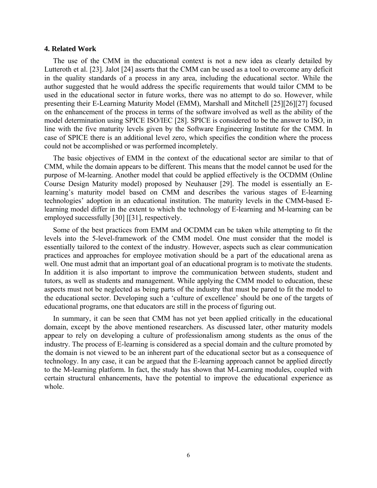## **4. Related Work**

The use of the CMM in the educational context is not a new idea as clearly detailed by Lutteroth et al. [23]. Jalot [24] asserts that the CMM can be used as a tool to overcome any deficit in the quality standards of a process in any area, including the educational sector. While the author suggested that he would address the specific requirements that would tailor CMM to be used in the educational sector in future works, there was no attempt to do so. However, while presenting their E-Learning Maturity Model (EMM), Marshall and Mitchell [25][26][27] focused on the enhancement of the process in terms of the software involved as well as the ability of the model determination using SPICE ISO/IEC [28]. SPICE is considered to be the answer to ISO, in line with the five maturity levels given by the Software Engineering Institute for the CMM. In case of SPICE there is an additional level zero, which specifies the condition where the process could not be accomplished or was performed incompletely.

The basic objectives of EMM in the context of the educational sector are similar to that of CMM, while the domain appears to be different. This means that the model cannot be used for the purpose of M-learning. Another model that could be applied effectively is the OCDMM (Online Course Design Maturity model) proposed by Neuhauser [29]. The model is essentially an Elearning's maturity model based on CMM and describes the various stages of E-learning technologies' adoption in an educational institution. The maturity levels in the CMM-based Elearning model differ in the extent to which the technology of E-learning and M-learning can be employed successfully [30] [[31], respectively.

Some of the best practices from EMM and OCDMM can be taken while attempting to fit the levels into the 5-level-framework of the CMM model. One must consider that the model is essentially tailored to the context of the industry. However, aspects such as clear communication practices and approaches for employee motivation should be a part of the educational arena as well. One must admit that an important goal of an educational program is to motivate the students. In addition it is also important to improve the communication between students, student and tutors, as well as students and management. While applying the CMM model to education, these aspects must not be neglected as being parts of the industry that must be pared to fit the model to the educational sector. Developing such a 'culture of excellence' should be one of the targets of educational programs, one that educators are still in the process of figuring out.

In summary, it can be seen that CMM has not yet been applied critically in the educational domain, except by the above mentioned researchers. As discussed later, other maturity models appear to rely on developing a culture of professionalism among students as the onus of the industry. The process of E-learning is considered as a special domain and the culture promoted by the domain is not viewed to be an inherent part of the educational sector but as a consequence of technology. In any case, it can be argued that the E-learning approach cannot be applied directly to the M-learning platform. In fact, the study has shown that M-Learning modules, coupled with certain structural enhancements, have the potential to improve the educational experience as whole.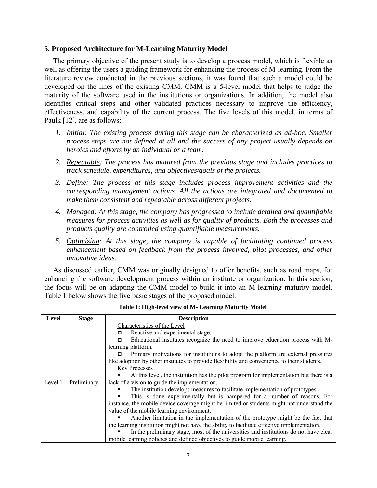# **5. Proposed Architecture for M-Learning Maturity Model**

The primary objective of the present study is to develop a process model, which is flexible as well as offering the users a guiding framework for enhancing the process of M-learning. From the literature review conducted in the previous sections, it was found that such a model could be developed on the lines of the existing CMM. CMM is a 5-level model that helps to judge the maturity of the software used in the institutions or organizations. In addition, the model also identifies critical steps and other validated practices necessary to improve the efficiency, effectiveness, and capability of the current process. The five levels of this model, in terms of Paulk [12], are as follows:

- *1. Initial: The existing process during this stage can be characterized as ad-hoc. Smaller process steps are not defined at all and the success of any project usually depends on heroics and efforts by an individual or a team.*
- *2. Repeatable: The process has matured from the previous stage and includes practices to track schedule, expenditures, and objectives/goals of the projects.*
- *3. Define: The process at this stage includes process improvement activities and the corresponding management actions. All the actions are integrated and documented to make them consistent and repeatable across different projects.*
- *4. Managed: At this stage, the company has progressed to include detailed and quantifiable measures for process activities as well as for quality of products. Both the processes and products quality are controlled using quantifiable measurements.*
- *5. Optimizing: At this stage, the company is capable of facilitating continued process enhancement based on feedback from the process involved, pilot processes, and other innovative ideas.*

As discussed earlier, CMM was originally designed to offer benefits, such as road maps, for enhancing the software development process within an institute or organization. In this section, the focus will be on adapting the CMM model to build it into an M-learning maturity model. Table 1 below shows the five basic stages of the proposed model.

| Level   | <b>Stage</b> | <b>Description</b>                                                                                                                                                                                                                                                                                                                                                                                                                                                                                                                                                                                                                                                                                                                                                                                                                                                                                                                                                                                                                                                                                                                                                                                              |
|---------|--------------|-----------------------------------------------------------------------------------------------------------------------------------------------------------------------------------------------------------------------------------------------------------------------------------------------------------------------------------------------------------------------------------------------------------------------------------------------------------------------------------------------------------------------------------------------------------------------------------------------------------------------------------------------------------------------------------------------------------------------------------------------------------------------------------------------------------------------------------------------------------------------------------------------------------------------------------------------------------------------------------------------------------------------------------------------------------------------------------------------------------------------------------------------------------------------------------------------------------------|
| Level 1 | Preliminary  | Characteristics of the Level<br>Reactive and experimental stage.<br>о<br>Educational institutes recognize the need to improve education process with M-<br>о<br>learning platform.<br>Primary motivations for institutions to adopt the platform are external pressures<br>о<br>like adoption by other institutes to provide flexibility and convenience to their students.<br><b>Key Processes</b><br>At this level, the institution has the pilot program for implementation but there is a<br>lack of a vision to guide the implementation.<br>The institution develops measures to facilitate implementation of prototypes.<br>This is done experimentally but is hampered for a number of reasons. For<br>instance, the mobile device coverage might be limited or students might not understand the<br>value of the mobile learning environment.<br>Another limitation in the implementation of the prototype might be the fact that<br>the learning institution might not have the ability to facilitate effective implementation.<br>In the preliminary stage, most of the universities and institutions do not have clear<br>mobile learning policies and defined objectives to guide mobile learning. |

**Table 1: High-level view of M- Learning Maturity Model**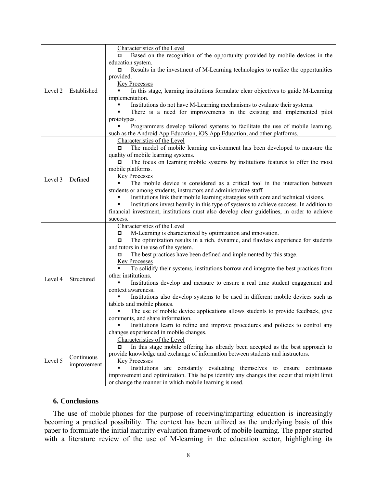|         |                           | Characteristics of the Level                                                               |
|---------|---------------------------|--------------------------------------------------------------------------------------------|
| Level 2 | Established               | Based on the recognition of the opportunity provided by mobile devices in the              |
|         |                           | education system.                                                                          |
|         |                           | Results in the investment of M-Learning technologies to realize the opportunities<br>о     |
|         |                           | provided.                                                                                  |
|         |                           | <b>Key Processes</b>                                                                       |
|         |                           | In this stage, learning institutions formulate clear objectives to guide M-Learning        |
|         |                           | implementation.                                                                            |
|         |                           | Institutions do not have M-Learning mechanisms to evaluate their systems.                  |
|         |                           | There is a need for improvements in the existing and implemented pilot                     |
|         |                           | prototypes.                                                                                |
|         |                           | Programmers develop tailored systems to facilitate the use of mobile learning,             |
|         |                           | such as the Android App Education, iOS App Education, and other platforms.                 |
|         | Defined                   | Characteristics of the Level                                                               |
|         |                           | The model of mobile learning environment has been developed to measure the                 |
|         |                           | quality of mobile learning systems.                                                        |
|         |                           | The focus on learning mobile systems by institutions features to offer the most            |
|         |                           | mobile platforms.                                                                          |
| Level 3 |                           | <b>Key Processes</b>                                                                       |
|         |                           | The mobile device is considered as a critical tool in the interaction between              |
|         |                           | students or among students, instructors and administrative staff.                          |
|         |                           | Institutions link their mobile learning strategies with core and technical visions.        |
|         |                           | Institutions invest heavily in this type of systems to achieve success. In addition to     |
|         |                           | financial investment, institutions must also develop clear guidelines, in order to achieve |
|         |                           | success.                                                                                   |
|         |                           | Characteristics of the Level                                                               |
|         | Structured                | M-Learning is characterized by optimization and innovation.                                |
|         |                           | The optimization results in a rich, dynamic, and flawless experience for students<br>о     |
|         |                           | and tutors in the use of the system.                                                       |
|         |                           | The best practices have been defined and implemented by this stage.<br>о                   |
| Level 4 |                           | <b>Key Processes</b>                                                                       |
|         |                           | To solidify their systems, institutions borrow and integrate the best practices from       |
|         |                           | other institutions.                                                                        |
|         |                           | Institutions develop and measure to ensure a real time student engagement and              |
|         |                           | context awareness.                                                                         |
|         |                           | Institutions also develop systems to be used in different mobile devices such as           |
|         |                           | tablets and mobile phones.                                                                 |
|         |                           | The use of mobile device applications allows students to provide feedback, give            |
|         |                           | comments, and share information.                                                           |
|         |                           | Institutions learn to refine and improve procedures and policies to control any            |
|         |                           | changes experienced in mobile changes.                                                     |
| Level 5 | Continuous<br>improvement | Characteristics of the Level                                                               |
|         |                           | In this stage mobile offering has already been accepted as the best approach to<br>о       |
|         |                           | provide knowledge and exchange of information between students and instructors.            |
|         |                           | <b>Key Processes</b>                                                                       |
|         |                           | Institutions are constantly evaluating themselves to ensure continuous                     |
|         |                           | improvement and optimization. This helps identify any changes that occur that might limit  |
|         |                           | or change the manner in which mobile learning is used.                                     |

# **6. Conclusions**

The use of mobile phones for the purpose of receiving/imparting education is increasingly becoming a practical possibility. The context has been utilized as the underlying basis of this paper to formulate the initial maturity evaluation framework of mobile learning. The paper started with a literature review of the use of M-learning in the education sector, highlighting its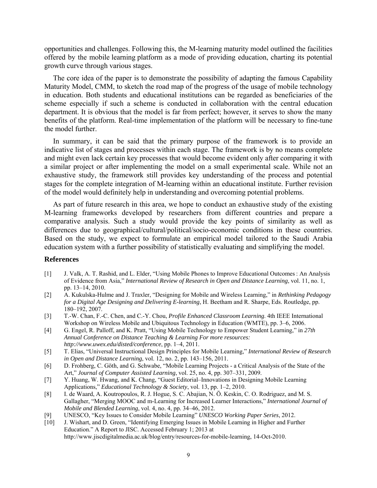opportunities and challenges. Following this, the M-learning maturity model outlined the facilities offered by the mobile learning platform as a mode of providing education, charting its potential growth curve through various stages.

The core idea of the paper is to demonstrate the possibility of adapting the famous Capability Maturity Model, CMM, to sketch the road map of the progress of the usage of mobile technology in education. Both students and educational institutions can be regarded as beneficiaries of the scheme especially if such a scheme is conducted in collaboration with the central education department. It is obvious that the model is far from perfect; however, it serves to show the many benefits of the platform. Real-time implementation of the platform will be necessary to fine-tune the model further.

In summary, it can be said that the primary purpose of the framework is to provide an indicative list of stages and processes within each stage. The framework is by no means complete and might even lack certain key processes that would become evident only after comparing it with a similar project or after implementing the model on a small experimental scale. While not an exhaustive study, the framework still provides key understanding of the process and potential stages for the complete integration of M-learning within an educational institute. Further revision of the model would definitely help in understanding and overcoming potential problems.

As part of future research in this area, we hope to conduct an exhaustive study of the existing M-learning frameworks developed by researchers from different countries and prepare a comparative analysis. Such a study would provide the key points of similarity as well as differences due to geographical/cultural/political/socio-economic conditions in these countries. Based on the study, we expect to formulate an empirical model tailored to the Saudi Arabia education system with a further possibility of statistically evaluating and simplifying the model.

# **References**

- [1] J. Valk, A. T. Rashid, and L. Elder, "Using Mobile Phones to Improve Educational Outcomes : An Analysis of Evidence from Asia," *International Review of Research in Open and Distance Learning*, vol. 11, no. 1, pp. 13–14, 2010.
- [2] A. Kukulska-Hulme and J. Traxler, "Designing for Mobile and Wireless Learning," in *Rethinking Pedagogy for a Digital Age Designing and Delivering E-learning*, H. Beetham and R. Sharpe, Eds. Routledge, pp. 180–192, 2007.
- [3] T.-W. Chan, F.-C. Chen, and C.-Y. Chou, *Profile Enhanced Classroom Learning*. 4th IEEE International Workshop on Wireless Mobile and Ubiquitous Technology in Education (WMTE), pp. 3–6, 2006.
- [4] G. Engel, R. Palloff, and K. Pratt, "Using Mobile Technology to Empower Student Learning," in *27th Annual Conference on Distance Teaching & Learning For more resources: http://www.uwex.edu/disted/conference*, pp. 1–4, 2011.
- [5] T. Elias, "Universal Instructional Design Principles for Mobile Learning," *International Review of Research in Open and Distance Learning*, vol. 12, no. 2, pp. 143–156, 2011.
- [6] D. Frohberg, C. Göth, and G. Schwabe, "Mobile Learning Projects a Critical Analysis of the State of the Art," *Journal of Computer Assisted Learning*, vol. 25, no. 4, pp. 307–331, 2009.
- [7] Y. Huang, W. Hwang, and K. Chang, "Guest Editorial–Innovations in Designing Mobile Learning Applications," *Educational Technology & Society*, vol. 13, pp. 1–2, 2010.
- [8] I. de Waard, A. Koutropoulos, R. J. Hogue, S. C. Abajian, N. Ö. Keskin, C. O. Rodriguez, and M. S. Gallagher, "Merging MOOC and m-Learning for Increased Learner Interactions," *International Journal of Mobile and Blended Learning*, vol. 4, no. 4, pp. 34–46, 2012.
- [9] UNESCO, "Key Issues to Consider Mobile Learning" *UNESCO Working Paper Series*, 2012.
- [10] J. Wishart, and D. Green, "Identifying Emerging Issues in Mobile Learning in Higher and Further Education." A Report to JISC. Accessed February 1; 2013 at http://www.jiscdigitalmedia.ac.uk/blog/entry/resources-for-mobile-learning, 14-Oct-2010.